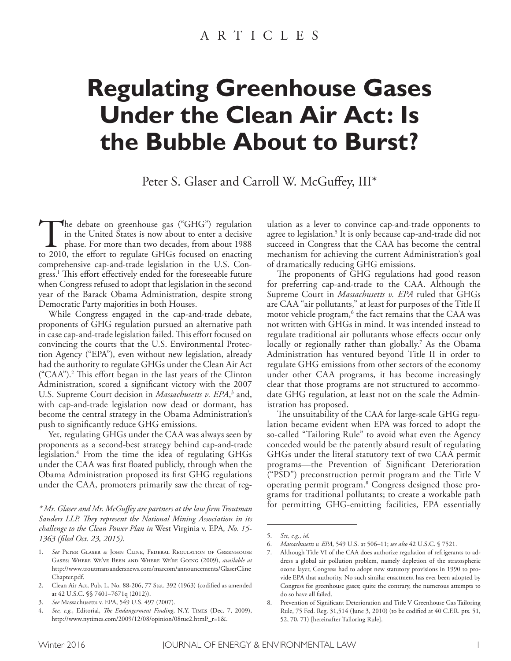# **Regulating Greenhouse Gases Under the Clean Air Act: Is the Bubble About to Burst?**

Peter S. Glaser and Carroll W. McGuffey, III\*

The debate on greenhouse gas ("GHG") regulation in the United States is now about to enter a decisive phase. For more than two decades, from about 1988 to 2010, the effort to regulate GHGs focused on enacting comprehensive cap-and-trade legislation in the U.S. Congress.<sup>1</sup> This effort effectively ended for the foreseeable future when Congress refused to adopt that legislation in the second year of the Barack Obama Administration, despite strong Democratic Party majorities in both Houses.

While Congress engaged in the cap-and-trade debate, proponents of GHG regulation pursued an alternative path in case cap-and-trade legislation failed. This effort focused on convincing the courts that the U.S. Environmental Protection Agency ("EPA"), even without new legislation, already had the authority to regulate GHGs under the Clean Air Act ("CAA").<sup>2</sup> This effort began in the last years of the Clinton Administration, scored a signifcant victory with the 2007 U.S. Supreme Court decision in *Massachusetts v. EPA*,<sup>3</sup> and, with cap-and-trade legislation now dead or dormant, has become the central strategy in the Obama Administration's push to signifcantly reduce GHG emissions.

Yet, regulating GHGs under the CAA was always seen by proponents as a second-best strategy behind cap-and-trade legislation. 4 From the time the idea of regulating GHGs under the CAA was frst foated publicly, through when the Obama Administration proposed its frst GHG regulations under the CAA, promoters primarily saw the threat of reg-

ulation as a lever to convince cap-and-trade opponents to agree to legislation. 5 It is only because cap-and-trade did not succeed in Congress that the CAA has become the central mechanism for achieving the current Administration's goal of dramatically reducing GHG emissions.

The proponents of GHG regulations had good reason for preferring cap-and-trade to the CAA. Although the Supreme Court in *Massachusetts v. EPA* ruled that GHGs are CAA "air pollutants," at least for purposes of the Title II motor vehicle program, $^6$  the fact remains that the CAA was not written with GHGs in mind. It was intended instead to regulate traditional air pollutants whose efects occur only locally or regionally rather than globally. 7 As the Obama Administration has ventured beyond Title II in order to regulate GHG emissions from other sectors of the economy under other CAA programs, it has become increasingly clear that those programs are not structured to accommodate GHG regulation, at least not on the scale the Administration has proposed.

The unsuitability of the CAA for large-scale GHG regulation became evident when EPA was forced to adopt the so-called "Tailoring Rule" to avoid what even the Agency conceded would be the patently absurd result of regulating GHGs under the literal statutory text of two CAA permit programs—the Prevention of Signifcant Deterioration ("PSD") preconstruction permit program and the Title V operating permit program. 8 Congress designed those programs for traditional pollutants; to create a workable path for permitting GHG-emitting facilities, EPA essentially

*<sup>\*</sup> Mr. Glaser and Mr. McGufey are partners at the law frm Troutman Sanders LLP. Tey represent the National Mining Association in its challenge to the Clean Power Plan in* West Virginia v. EPA*, No. 15- 1363 (fled Oct. 23, 2015).*

<sup>1.</sup> *See* Peter Glaser & John Cline, Federal Regulation of Greenhouse Gases: Where We've Been and Where We're Going (2009), *available at*  http://www.troutmansandersnews.com/marcom/announcements/GlaserCline Chapter.pdf.

<sup>2.</sup> Clean Air Act, Pub. L. No. 88-206, 77 Stat. 392 (1963) (codifed as amended at 42 U.S.C. §§ 7401–7671q (2012)).

<sup>3.</sup> *See* Massachusetts v. EPA, 549 U.S. 497 (2007).

<sup>4.</sup> *See, e.g.*, Editorial, *Te Endangerment Finding*, N.Y. Times (Dec. 7, 2009), http://www.nytimes.com/2009/12/08/opinion/08tue2.html?\_r=1&.

<sup>5.</sup> *See, e.g.*, *id.*

<sup>6.</sup> *Massachusetts v. EPA*, 549 U.S. at 506–11; *see also* 42 U.S.C. § 7521.

Although Title VI of the CAA does authorize regulation of refrigerants to address a global air pollution problem, namely depletion of the stratospheric ozone layer, Congress had to adopt new statutory provisions in 1990 to provide EPA that authority. No such similar enactment has ever been adopted by Congress for greenhouse gases; quite the contrary, the numerous attempts to do so have all failed.

<sup>8.</sup> Prevention of Signifcant Deterioration and Title V Greenhouse Gas Tailoring Rule, 75 Fed. Reg. 31,514 (June 3, 2010) (to be codifed at 40 C.F.R. pts. 51, 52, 70, 71) [hereinafter Tailoring Rule].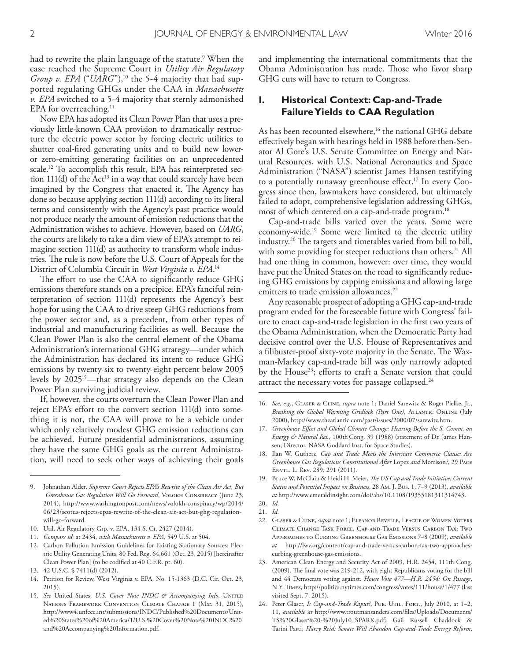had to rewrite the plain language of the statute. 9 When the case reached the Supreme Court in *Utility Air Regulatory Group v. EPA* ("*UARG*"),<sup>10</sup> the 5-4 majority that had supported regulating GHGs under the CAA in *Massachusetts v. EPA* switched to a 5-4 majority that sternly admonished EPA for overreaching.<sup>11</sup>

Now EPA has adopted its Clean Power Plan that uses a previously little-known CAA provision to dramatically restructure the electric power sector by forcing electric utilities to shutter coal-fred generating units and to build new loweror zero-emitting generating facilities on an unprecedented scale. 12 To accomplish this result, EPA has reinterpreted section  $111(d)$  of the Act<sup>13</sup> in a way that could scarcely have been imagined by the Congress that enacted it. The Agency has done so because applying section 111(d) according to its literal terms and consistently with the Agency's past practice would not produce nearly the amount of emission reductions that the Administration wishes to achieve. However, based on *UARG*, the courts are likely to take a dim view of EPA's attempt to reimagine section 111(d) as authority to transform whole industries. The rule is now before the U.S. Court of Appeals for the District of Columbia Circuit in *West Virginia v. EPA*. 14

The effort to use the CAA to significantly reduce GHG emissions therefore stands on a precipice. EPA's fanciful reinterpretation of section 111(d) represents the Agency's best hope for using the CAA to drive steep GHG reductions from the power sector and, as a precedent, from other types of industrial and manufacturing facilities as well. Because the Clean Power Plan is also the central element of the Obama Administration's international GHG strategy—under which the Administration has declared its intent to reduce GHG emissions by twenty-six to twenty-eight percent below 2005 levels by 2025<sup>15</sup>—that strategy also depends on the Clean Power Plan surviving judicial review.

If, however, the courts overturn the Clean Power Plan and reject EPA's effort to the convert section 111(d) into something it is not, the CAA will prove to be a vehicle under which only relatively modest GHG emission reductions can be achieved. Future presidential administrations, assuming they have the same GHG goals as the current Administration, will need to seek other ways of achieving their goals

- 11. *Compare id.* at 2434, *with Massachusetts v. EPA*, 549 U.S. at 504.
- 12. Carbon Pollution Emission Guidelines for Existing Stationary Sources: Electric Utility Generating Units, 80 Fed. Reg. 64,661 (Oct. 23, 2015) [hereinafter Clean Power Plan] (to be codifed at 40 C.F.R. pt. 60).
- 13. 42 U.S.C. § 7411(d) (2012).
- 14. Petition for Review, West Virginia v. EPA, No. 15-1363 (D.C. Cir. Oct. 23, 2015).
- 15. See United States, U.S. Cover Note INDC & Accompanying Info, UNITED Nations Framework Convention Climate Change 1 (Mar. 31, 2015), http://www4.unfccc.int/submissions/INDC/Published%20Documents/United%20States%20of%20America/1/U.S.%20Cover%20Note%20INDC%20 and%20Accompanying%20Information.pdf.

and implementing the international commitments that the Obama Administration has made. Those who favor sharp GHG cuts will have to return to Congress.

## **I. Historical Context: Cap-and-Trade Failure Yields to CAA Regulation**

As has been recounted elsewhere,<sup>16</sup> the national GHG debate efectively began with hearings held in 1988 before then-Senator Al Gore's U.S. Senate Committee on Energy and Natural Resources, with U.S. National Aeronautics and Space Administration ("NASA") scientist James Hansen testifying to a potentially runaway greenhouse effect.<sup>17</sup> In every Congress since then, lawmakers have considered, but ultimately failed to adopt, comprehensive legislation addressing GHGs, most of which centered on a cap-and-trade program. 18

Cap-and-trade bills varied over the years. Some were economy-wide. 19 Some were limited to the electric utility industry.<sup>20</sup> The targets and timetables varied from bill to bill, with some providing for steeper reductions than others. 21 All had one thing in common, however: over time, they would have put the United States on the road to signifcantly reducing GHG emissions by capping emissions and allowing large emitters to trade emission allowances. 22

Any reasonable prospect of adopting a GHG cap-and-trade program ended for the foreseeable future with Congress' failure to enact cap-and-trade legislation in the frst two years of the Obama Administration, when the Democratic Party had decisive control over the U.S. House of Representatives and a filibuster-proof sixty-vote majority in the Senate. The Waxman-Markey cap-and-trade bill was only narrowly adopted by the House<sup>23</sup>; efforts to craft a Senate version that could attract the necessary votes for passage collapsed. $^{\scriptscriptstyle 24}$ 

- 18. Ilan W. Gutherz, *Cap and Trade Meets the Interstate Commerce Clause: Are Greenhouse Gas Regulations Constitutional After* Lopez *and* Morrison*?*, 29 Pace Envtl. L. Rev. 289, 291 (2011).
- 19. Bruce W. McClain & Heidi H. Meier, *Te US Cap and Trade Initiative: Current Status and Potential Impact on Business*, 28 Am. J. Bus. 1, 7–9 (2013), *available at* http://www.emeraldinsight.com/doi/abs/10.1108/19355181311314743.

- 21. *Id*.
- 22. Glaser & Cline, *supra* note 1; Eleanor Revelle, League of Women Voters Climate Change Task Force, Cap-and-Trade Versus Carbon Tax: Two Approaches to Curbing Greenhouse Gas Emissions 7–8 (2009), *available at* http://lwv.org/content/cap-and-trade-versus-carbon-tax-two-approachescurbing-greenhouse-gas-emissions.
- 23. American Clean Energy and Security Act of 2009, H.R. 2454, 111th Cong. (2009). The final vote was 219-212, with eight Republicans voting for the bill and 44 Democrats voting against. *House Vote 477—H.R. 2454: On Passage*, N.Y. Times, http://politics.nytimes.com/congress/votes/111/house/1/477 (last visited Sept. 7, 2015).
- 24. Peter Glaser, *Is Cap-and-Trade Kaput?*, PUB. UTIL. FORT., July 2010, at 1-2, 11, *available at* http://www.troutmansanders.com/fles/Uploads/Documents/ TS%20Glaser%20-%20July10\_SPARK.pdf; Gail Russell Chaddock & Tarini Parti, *Harry Reid: Senate Will Abandon Cap-and-Trade Energy Reform*,

<sup>9.</sup> Johnathan Alder, *Supreme Court Rejects EPA's Rewrite of the Clean Air Act, But Greenhouse Gas Regulation Will Go Forward*, Volokh Conspiracy (June 23, 2014), http://www.washingtonpost.com/news/volokh-conspiracy/wp/2014/ 06/23/scotus-rejects-epas-rewrite-of-the-clean-air-act-but-ghg-regulationwill-go-forward.

<sup>10.</sup> Util. Air Regulatory Grp. v. EPA, 134 S. Ct. 2427 (2014).

<sup>16.</sup> *See, e.g.*, Glaser & Cline, *supra* note 1; Daniel Sarewitz & Roger Pielke, Jr., *Breaking the Global Warming Gridlock (Part One)*, Atlantic Online (July 2000), http://www.theatlantic.com/past/issues/2000/07/sarewitz.htm.

<sup>17.</sup> *Greenhouse Efect and Global Climate Change: Hearing Before the S. Comm. on Energy & Natural Res.*, 100th Cong. 39 (1988) (statement of Dr. James Hansen, Director, NASA Goddard Inst. for Space Studies).

<sup>20.</sup> *Id*.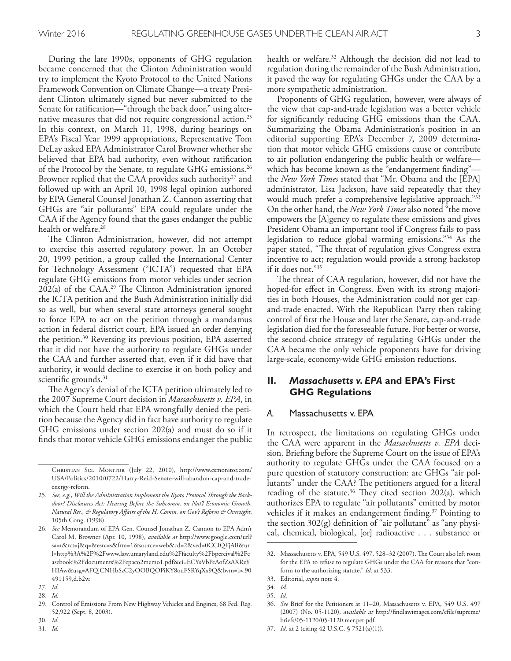During the late 1990s, opponents of GHG regulation became concerned that the Clinton Administration would try to implement the Kyoto Protocol to the United Nations Framework Convention on Climate Change—a treaty President Clinton ultimately signed but never submitted to the Senate for ratification—"through the back door," using alternative measures that did not require congressional action. 25 In this context, on March 11, 1998, during hearings on EPA's Fiscal Year 1999 appropriations, Representative Tom DeLay asked EPA Administrator Carol Browner whether she believed that EPA had authority, even without ratifcation of the Protocol by the Senate, to regulate GHG emissions. 26 Browner replied that the CAA provides such authority<sup>27</sup> and followed up with an April 10, 1998 legal opinion authored by EPA General Counsel Jonathan Z. Cannon asserting that GHGs are "air pollutants" EPA could regulate under the CAA if the Agency found that the gases endanger the public health or welfare. 28

The Clinton Administration, however, did not attempt to exercise this asserted regulatory power. In an October 20, 1999 petition, a group called the International Center for Technology Assessment ("ICTA") requested that EPA regulate GHG emissions from motor vehicles under section 202(a) of the CAA.<sup>29</sup> The Clinton Administration ignored the ICTA petition and the Bush Administration initially did so as well, but when several state attorneys general sought to force EPA to act on the petition through a mandamus action in federal district court, EPA issued an order denying the petition. 30 Reversing its previous position, EPA asserted that it did not have the authority to regulate GHGs under the CAA and further asserted that, even if it did have that authority, it would decline to exercise it on both policy and scientifc grounds. 31

The Agency's denial of the ICTA petition ultimately led to the 2007 Supreme Court decision in *Massachusetts v. EPA*, in which the Court held that EPA wrongfully denied the petition because the Agency did in fact have authority to regulate GHG emissions under section 202(a) and must do so if it fnds that motor vehicle GHG emissions endanger the public health or welfare. 32 Although the decision did not lead to regulation during the remainder of the Bush Administration, it paved the way for regulating GHGs under the CAA by a more sympathetic administration.

Proponents of GHG regulation, however, were always of the view that cap-and-trade legislation was a better vehicle for signifcantly reducing GHG emissions than the CAA. Summarizing the Obama Administration's position in an editorial supporting EPA's December 7, 2009 determination that motor vehicle GHG emissions cause or contribute to air pollution endangering the public health or welfare which has become known as the "endangerment fnding" the *New York Times* stated that "Mr. Obama and the [EPA] administrator, Lisa Jackson, have said repeatedly that they would much prefer a comprehensive legislative approach."<sup>33</sup> On the other hand, the *New York Times* also noted "the move empowers the [A]gency to regulate these emissions and gives President Obama an important tool if Congress fails to pass legislation to reduce global warming emissions."34 As the paper stated, "The threat of regulation gives Congress extra incentive to act; regulation would provide a strong backstop if it does not."35

The threat of CAA regulation, however, did not have the hoped-for effect in Congress. Even with its strong majorities in both Houses, the Administration could not get capand-trade enacted. With the Republican Party then taking control of frst the House and later the Senate, cap-and-trade legislation died for the foreseeable future. For better or worse, the second-choice strategy of regulating GHGs under the CAA became the only vehicle proponents have for driving large-scale, economy-wide GHG emission reductions.

## **II.** *Massachusetts v. EPA* **and EPA's First GHG Regulations**

#### *A.* Massachusetts v. EPA

In retrospect, the limitations on regulating GHGs under the CAA were apparent in the *Massachusetts v. EPA* decision. Briefng before the Supreme Court on the issue of EPA's authority to regulate GHGs under the CAA focused on a pure question of statutory construction: are GHGs "air pollutants" under the CAA? The petitioners argued for a literal reading of the statute.<sup>36</sup> They cited section 202(a), which authorizes EPA to regulate "air pollutants" emitted by motor vehicles if it makes an endangerment fnding. 37 Pointing to the section 302(g) defnition of "air pollutant" as "any physical, chemical, biological, [or] radioactive . . . substance or

Christian Sci. Monitor (July 22, 2010), http://www.csmonitor.com/ USA/Politics/2010/0722/Harry-Reid-Senate-will-abandon-cap-and-tradeenergy-reform.

<sup>25.</sup> See, e.g., Will the Administration Implement the Kyoto Protocol Through the Back*door? Disclosures Act: Hearing Before the Subcomm. on Nat'l Economic Growth, Natural Res., & Regulatory Afairs of the H. Comm. on Gov't Reform & Oversight*, 105th Cong. (1998).

<sup>26.</sup> *See* Memorandum of EPA Gen. Counsel Jonathan Z. Cannon to EPA Adm'r Carol M. Browner (Apr. 10, 1998), *available at* http://www.google.com/url? sa=t&rct=j&q=&esrc=s&frm=1&source=web&cd=2&ved=0CCIQFjAB&ur l=http%3A%2F%2Fwww.law.umaryland.edu%2Ffaculty%2Fbpercival%2Fc asebook%2Fdocuments%2Fepaco2memo1.pdf&ei=ECYsVbPeAofZsAXRzY HIAw&usg=AFQjCNHbSzC2yOOBQOPiKY8ouFSRYqXx9Q&bvm=bv.90 491159,d.b2w.

<sup>27.</sup> *Id.*

<sup>28.</sup> *Id.*

<sup>29.</sup> Control of Emissions From New Highway Vehicles and Engines, 68 Fed. Reg. 52,922 (Sept. 8, 2003).

<sup>30.</sup> *Id.*

<sup>31.</sup> *Id.*

<sup>32.</sup> Massachusetts v. EPA, 549 U.S. 497, 528-32 (2007). The Court also left room for the EPA to refuse to regulate GHGs under the CAA for reasons that "conform to the authorizing statute." *Id*. at 533.

<sup>33.</sup> Editorial, *supra* note 4.

<sup>34.</sup> *Id.*

<sup>35.</sup> *Id.*

<sup>36.</sup> *See* Brief for the Petitioners at 11–20, Massachusetts v. EPA, 549 U.S. 497 (2007) (No. 05-1120), *available at* http://fndlawimages.com/efle/supreme/ briefs/05-1120/05-1120.mer.pet.pdf.

<sup>37.</sup> *Id.* at 2 (citing 42 U.S.C. § 7521(a)(1)).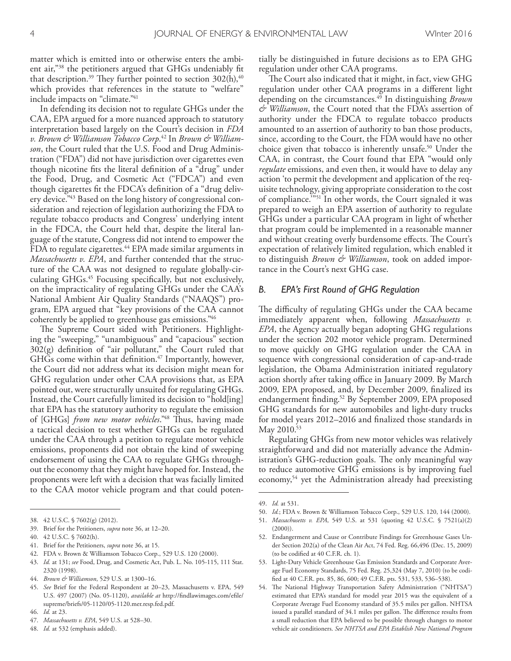matter which is emitted into or otherwise enters the ambient air,"38 the petitioners argued that GHGs undeniably ft that description. $^\textrm{39}$  They further pointed to section 302(h), $^\textrm{40}$ which provides that references in the statute to "welfare" include impacts on "climate." 41

In defending its decision not to regulate GHGs under the CAA, EPA argued for a more nuanced approach to statutory interpretation based largely on the Court's decision in *FDA v. Brown & Williamson Tobacco Corp*. 42 In *Brown & Williamson*, the Court ruled that the U.S. Food and Drug Administration ("FDA") did not have jurisdiction over cigarettes even though nicotine fts the literal defnition of a "drug" under the Food, Drug, and Cosmetic Act ("FDCA") and even though cigarettes ft the FDCA's defnition of a "drug delivery device." 43 Based on the long history of congressional consideration and rejection of legislation authorizing the FDA to regulate tobacco products and Congress' underlying intent in the FDCA, the Court held that, despite the literal language of the statute, Congress did not intend to empower the FDA to regulate cigarettes. 44 EPA made similar arguments in *Massachusetts v. EPA*, and further contended that the structure of the CAA was not designed to regulate globally-circulating GHGs. 45 Focusing specifcally, but not exclusively, on the impracticality of regulating GHGs under the CAA's National Ambient Air Quality Standards ("NAAQS") program, EPA argued that "key provisions of the CAA cannot coherently be applied to greenhouse gas emissions." 46

The Supreme Court sided with Petitioners. Highlighting the "sweeping," "unambiguous" and "capacious" section  $302(g)$  definition of "air pollutant," the Court ruled that GHGs come within that defnition. 47 Importantly, however, the Court did not address what its decision might mean for GHG regulation under other CAA provisions that, as EPA pointed out, were structurally unsuited for regulating GHGs. Instead, the Court carefully limited its decision to "hold[ing] that EPA has the statutory authority to regulate the emission of [GHGs] *from new motor vehicles*."<sup>48</sup> Thus, having made a tactical decision to test whether GHGs can be regulated under the CAA through a petition to regulate motor vehicle emissions, proponents did not obtain the kind of sweeping endorsement of using the CAA to regulate GHGs throughout the economy that they might have hoped for. Instead, the proponents were left with a decision that was facially limited to the CAA motor vehicle program and that could poten-

- 40. 42 U.S.C. § 7602(h).
- 41. Brief for the Petitioners, *supra* note 36, at 15.
- 42. FDA v. Brown & Williamson Tobacco Corp., 529 U.S. 120 (2000).
- 43. *Id.* at 131; *see* Food, Drug, and Cosmetic Act, Pub. L. No. 105-115, 111 Stat. 2320 (1998).
- 44. *Brown & Williamson*, 529 U.S. at 1300–16.
- 45. *See* Brief for the Federal Respondent at 20–23, Massachusetts v. EPA, 549 U.S. 497 (2007) (No. 05-1120), *available at* http://fndlawimages.com/efle/ supreme/briefs/05-1120/05-1120.mer.resp.fed.pdf.
- 46. *Id.* at 23.
- 47. *Massachusetts v. EPA*, 549 U.S. at 528–30.
- 48. *Id.* at 532 (emphasis added).

tially be distinguished in future decisions as to EPA GHG regulation under other CAA programs.

The Court also indicated that it might, in fact, view GHG regulation under other CAA programs in a diferent light depending on the circumstances. 49 In distinguishing *Brown & Williamson*, the Court noted that the FDA's assertion of authority under the FDCA to regulate tobacco products amounted to an assertion of authority to ban those products, since, according to the Court, the FDA would have no other choice given that tobacco is inherently unsafe. 50 Under the CAA, in contrast, the Court found that EPA "would only *regulate* emissions, and even then, it would have to delay any action 'to permit the development and application of the requisite technology, giving appropriate consideration to the cost of compliance.<sup>3551</sup> In other words, the Court signaled it was prepared to weigh an EPA assertion of authority to regulate GHGs under a particular CAA program in light of whether that program could be implemented in a reasonable manner and without creating overly burdensome effects. The Court's expectation of relatively limited regulation, which enabled it to distinguish *Brown & Williamson*, took on added importance in the Court's next GHG case.

#### *B. EPA's First Round of GHG Regulation*

The difficulty of regulating GHGs under the CAA became immediately apparent when, following *Massachusetts v. EPA*, the Agency actually began adopting GHG regulations under the section 202 motor vehicle program. Determined to move quickly on GHG regulation under the CAA in sequence with congressional consideration of cap-and-trade legislation, the Obama Administration initiated regulatory action shortly after taking office in January 2009. By March 2009, EPA proposed, and, by December 2009, fnalized its endangerment fnding. 52 By September 2009, EPA proposed GHG standards for new automobiles and light-duty trucks for model years 2012–2016 and fnalized those standards in May 2010. 53

Regulating GHGs from new motor vehicles was relatively straightforward and did not materially advance the Administration's GHG-reduction goals. The only meaningful way to reduce automotive GHG emissions is by improving fuel economy,<sup>54</sup> yet the Administration already had preexisting

50. *Id.*; FDA v. Brown & Williamson Tobacco Corp., 529 U.S. 120, 144 (2000).

- 52. Endangerment and Cause or Contribute Findings for Greenhouse Gases Under Section 202(a) of the Clean Air Act, 74 Fed. Reg. 66,496 (Dec. 15, 2009) (to be codifed at 40 C.F.R. ch. 1).
- 53. Light-Duty Vehicle Greenhouse Gas Emission Standards and Corporate Average Fuel Economy Standards, 75 Fed. Reg. 25,324 (May 7, 2010) (to be codifed at 40 C.F.R. pts. 85, 86, 600; 49 C.F.R. pts. 531, 533, 536–538).
- 54. The National Highway Transportation Safety Administration ("NHTSA") estimated that EPA's standard for model year 2015 was the equivalent of a Corporate Average Fuel Economy standard of 35.5 miles per gallon. NHTSA issued a parallel standard of 34.1 miles per gallon. The difference results from a small reduction that EPA believed to be possible through changes to motor vehicle air conditioners. *See NHTSA and EPA Establish New National Program*

<sup>38.</sup> 42 U.S.C. § 7602(g) (2012).

<sup>39.</sup> Brief for the Petitioners, *supra* note 36, at 12–20.

<sup>49.</sup> *Id.* at 531.

<sup>51.</sup> *Massachusetts v. EPA*, 549 U.S. at 531 (quoting 42 U.S.C. § 7521(a)(2)  $(2000)$ ).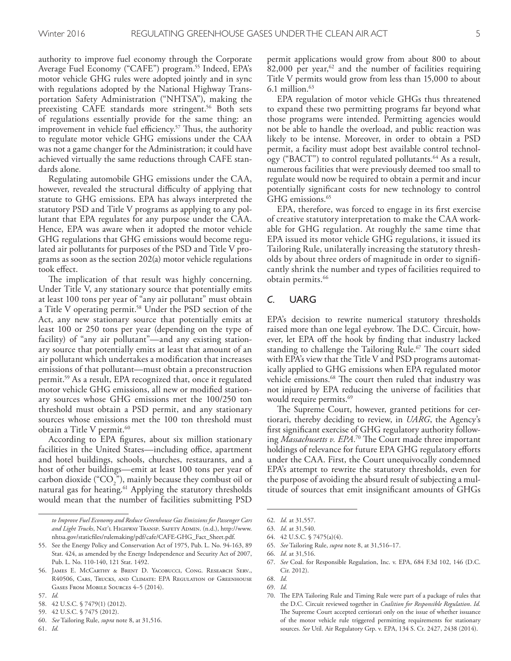authority to improve fuel economy through the Corporate Average Fuel Economy ("CAFE") program. 55 Indeed, EPA's motor vehicle GHG rules were adopted jointly and in sync with regulations adopted by the National Highway Transportation Safety Administration ("NHTSA"), making the preexisting CAFE standards more stringent. 56 Both sets of regulations essentially provide for the same thing: an improvement in vehicle fuel efficiency.<sup>57</sup> Thus, the authority to regulate motor vehicle GHG emissions under the CAA was not a game changer for the Administration; it could have achieved virtually the same reductions through CAFE standards alone.

Regulating automobile GHG emissions under the CAA, however, revealed the structural difficulty of applying that statute to GHG emissions. EPA has always interpreted the statutory PSD and Title V programs as applying to any pollutant that EPA regulates for any purpose under the CAA. Hence, EPA was aware when it adopted the motor vehicle GHG regulations that GHG emissions would become regulated air pollutants for purposes of the PSD and Title V programs as soon as the section 202(a) motor vehicle regulations took efect.

The implication of that result was highly concerning. Under Title V, any stationary source that potentially emits at least 100 tons per year of "any air pollutant" must obtain a Title V operating permit. 58 Under the PSD section of the Act, any new stationary source that potentially emits at least 100 or 250 tons per year (depending on the type of facility) of "any air pollutant"—and any existing stationary source that potentially emits at least that amount of an air pollutant which undertakes a modifcation that increases emissions of that pollutant—must obtain a preconstruction permit. 59 As a result, EPA recognized that, once it regulated motor vehicle GHG emissions, all new or modifed stationary sources whose GHG emissions met the 100/250 ton threshold must obtain a PSD permit, and any stationary sources whose emissions met the 100 ton threshold must obtain a Title V permit. 60

According to EPA fgures, about six million stationary facilities in the United States—including office, apartment and hotel buildings, schools, churches, restaurants, and a host of other buildings—emit at least 100 tons per year of carbon dioxide (" $CO_2$ "), mainly because they combust oil or natural gas for heating. 61 Applying the statutory thresholds would mean that the number of facilities submitting PSD

*to Improve Fuel Economy and Reduce Greenhouse Gas Emissions for Passenger Cars*  and Light Trucks, NAT'L HIGHWAY TRANSP. SAFETY ADMIN. (n.d.), http://www. nhtsa.gov/staticfles/rulemaking/pdf/cafe/CAFE-GHG\_Fact\_Sheet.pdf.

60. *See* Tailoring Rule, *supra* note 8, at 31,516.

permit applications would grow from about 800 to about 82,000 per year,  $62$  and the number of facilities requiring Title V permits would grow from less than 15,000 to about 6.1 million. 63

EPA regulation of motor vehicle GHGs thus threatened to expand these two permitting programs far beyond what those programs were intended. Permitting agencies would not be able to handle the overload, and public reaction was likely to be intense. Moreover, in order to obtain a PSD permit, a facility must adopt best available control technology ("BACT") to control regulated pollutants. 64 As a result, numerous facilities that were previously deemed too small to regulate would now be required to obtain a permit and incur potentially signifcant costs for new technology to control GHG emissions. 65

EPA, therefore, was forced to engage in its frst exercise of creative statutory interpretation to make the CAA workable for GHG regulation. At roughly the same time that EPA issued its motor vehicle GHG regulations, it issued its Tailoring Rule, unilaterally increasing the statutory thresholds by about three orders of magnitude in order to signifcantly shrink the number and types of facilities required to obtain permits. 66

#### *C.* UARG

EPA's decision to rewrite numerical statutory thresholds raised more than one legal eyebrow. The D.C. Circuit, however, let EPA off the hook by finding that industry lacked standing to challenge the Tailoring Rule.<sup>67</sup> The court sided with EPA's view that the Title V and PSD programs automatically applied to GHG emissions when EPA regulated motor vehicle emissions.<sup>68</sup> The court then ruled that industry was not injured by EPA reducing the universe of facilities that would require permits. 69

The Supreme Court, however, granted petitions for certiorari, thereby deciding to review, in *UARG*, the Agency's frst signifcant exercise of GHG regulatory authority following *Massachusetts v. EPA.*<sup>70</sup> The Court made three important holdings of relevance for future EPA GHG regulatory efforts under the CAA. First, the Court unequivocally condemned EPA's attempt to rewrite the statutory thresholds, even for the purpose of avoiding the absurd result of subjecting a multitude of sources that emit insignifcant amounts of GHGs

65. *See* Tailoring Rule, *supra* note 8, at 31,516–17.

<sup>55.</sup> See the Energy Policy and Conservation Act of 1975, Pub. L. No. 94-163, 89 Stat. 424, as amended by the Energy Independence and Security Act of 2007, Pub. L. No. 110-140, 121 Stat. 1492.

<sup>56.</sup> James E. McCarthy & Brent D. Yacobucci, Cong. Research Serv., R40506, Cars, Trucks, and Climate: EPA Regulation of Greenhouse Gases From Mobile Sources 4–5 (2014).

<sup>57.</sup> *Id.*

<sup>58.</sup> 42 U.S.C. § 7479(1) (2012).

<sup>59.</sup> 42 U.S.C. § 7475 (2012).

<sup>62.</sup> *Id.* at 31,557.

<sup>63.</sup> *Id.* at 31,540.

<sup>64.</sup> 42 U.S.C. § 7475(a)(4).

<sup>66.</sup> *Id*. at 31,516.

<sup>67.</sup> *See* Coal. for Responsible Regulation, Inc. v. EPA, 684 F.3d 102, 146 (D.C. Cir. 2012).

<sup>68.</sup> *Id.*

<sup>69.</sup> *Id.*

<sup>70.</sup> The EPA Tailoring Rule and Timing Rule were part of a package of rules that the D.C. Circuit reviewed together in *Coalition for Responsible Regulation*. *Id.* The Supreme Court accepted certiorari only on the issue of whether issuance of the motor vehicle rule triggered permitting requirements for stationary sources. *See* Util. Air Regulatory Grp. v. EPA, 134 S. Ct. 2427, 2438 (2014).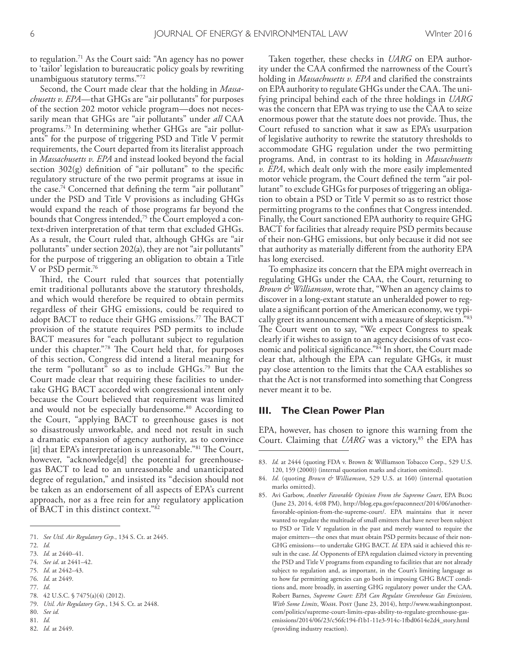to regulation. 71 As the Court said: "An agency has no power to 'tailor' legislation to bureaucratic policy goals by rewriting unambiguous statutory terms."72

Second, the Court made clear that the holding in *Massachusetts v. EPA*—that GHGs are "air pollutants" for purposes of the section 202 motor vehicle program—does not necessarily mean that GHGs are "air pollutants" under *all* CAA programs. 73 In determining whether GHGs are "air pollutants" for the purpose of triggering PSD and Title V permit requirements, the Court departed from its literalist approach in *Massachusetts v. EPA* and instead looked beyond the facial section  $302(g)$  definition of "air pollutant" to the specific regulatory structure of the two permit programs at issue in the case. 74 Concerned that defning the term "air pollutant" under the PSD and Title V provisions as including GHGs would expand the reach of those programs far beyond the bounds that Congress intended,<sup>75</sup> the Court employed a context-driven interpretation of that term that excluded GHGs. As a result, the Court ruled that, although GHGs are "air pollutants" under section 202(a), they are not "air pollutants" for the purpose of triggering an obligation to obtain a Title V or PSD permit. 76

Third, the Court ruled that sources that potentially emit traditional pollutants above the statutory thresholds, and which would therefore be required to obtain permits regardless of their GHG emissions, could be required to adopt BACT to reduce their GHG emissions.<sup>77</sup> The BACT provision of the statute requires PSD permits to include BACT measures for "each pollutant subject to regulation under this chapter."<sup>78</sup> The Court held that, for purposes of this section, Congress did intend a literal meaning for the term "pollutant" so as to include GHGs. 79 But the Court made clear that requiring these facilities to undertake GHG BACT accorded with congressional intent only because the Court believed that requirement was limited and would not be especially burdensome. 80 According to the Court, "applying BACT to greenhouse gases is not so disastrously unworkable, and need not result in such a dramatic expansion of agency authority, as to convince [it] that EPA's interpretation is unreasonable."<sup>81</sup> The Court, however, "acknowledge[d] the potential for greenhousegas BACT to lead to an unreasonable and unanticipated degree of regulation," and insisted its "decision should not be taken as an endorsement of all aspects of EPA's current approach, nor as a free rein for any regulatory application of BACT in this distinct context."82

75. *Id*. at 2442–43.

77. *Id*.

- 79. *Util. Air Regulatory Grp.*, 134 S. Ct. at 2448.
- 80. *See id.* 81. *Id.*
- 82. *Id.* at 2449.

Taken together, these checks in *UARG* on EPA authority under the CAA confrmed the narrowness of the Court's holding in *Massachusetts v. EPA* and clarifed the constraints on EPA authority to regulate GHGs under the CAA. The unifying principal behind each of the three holdings in *UARG* was the concern that EPA was trying to use the CAA to seize enormous power that the statute does not provide. Thus, the Court refused to sanction what it saw as EPA's usurpation of legislative authority to rewrite the statutory thresholds to accommodate GHG regulation under the two permitting programs. And, in contrast to its holding in *Massachusetts v. EPA*, which dealt only with the more easily implemented motor vehicle program, the Court defned the term "air pollutant" to exclude GHGs for purposes of triggering an obligation to obtain a PSD or Title V permit so as to restrict those permitting programs to the confnes that Congress intended. Finally, the Court sanctioned EPA authority to require GHG BACT for facilities that already require PSD permits because of their non-GHG emissions, but only because it did not see that authority as materially diferent from the authority EPA has long exercised.

To emphasize its concern that the EPA might overreach in regulating GHGs under the CAA, the Court, returning to *Brown & Williamson*, wrote that, "When an agency claims to discover in a long-extant statute an unheralded power to regulate a signifcant portion of the American economy, we typically greet its announcement with a measure of skepticism."83 The Court went on to say, "We expect Congress to speak clearly if it wishes to assign to an agency decisions of vast economic and political signifcance."84 In short, the Court made clear that, although the EPA can regulate GHGs, it must pay close attention to the limits that the CAA establishes so that the Act is not transformed into something that Congress never meant it to be.

#### **III. The Clean Power Plan**

EPA, however, has chosen to ignore this warning from the Court. Claiming that *UARG* was a victory,<sup>85</sup> the EPA has

<sup>71.</sup> *See Util. Air Regulatory Grp.*, 134 S. Ct. at 2445.

<sup>72.</sup> *Id.*

<sup>73.</sup> *Id.* at 2440–41.

<sup>74.</sup> *See id*. at 2441–42.

<sup>76.</sup> *Id*. at 2449.

<sup>78.</sup> 42 U.S.C. § 7475(a)(4) (2012).

<sup>83.</sup> *Id.* at 2444 (quoting FDA v. Brown & Williamson Tobacco Corp., 529 U.S. 120, 159 (2000)) (internal quotation marks and citation omitted).

<sup>84.</sup> *Id.* (quoting *Brown & Williamson*, 529 U.S. at 160) (internal quotation marks omitted).

<sup>85.</sup> Avi Garbow, *Another Favorable Opinion From the Supreme Court*, EPA Blog (June 23, 2014, 4:08 PM), http://blog.epa.gov/epaconnect/2014/06/anotherfavorable-opinion-from-the-supreme-court/. EPA maintains that it never wanted to regulate the multitude of small emitters that have never been subject to PSD or Title V regulation in the past and merely wanted to require the major emitters—the ones that must obtain PSD permits because of their non-GHG emissions—to undertake GHG BACT. *Id.* EPA said it achieved this result in the case. *Id.* Opponents of EPA regulation claimed victory in preventing the PSD and Title V programs from expanding to facilities that are not already subject to regulation and, as important, in the Court's limiting language as to how far permitting agencies can go both in imposing GHG BACT conditions and, more broadly, in asserting GHG regulatory power under the CAA. Robert Barnes, *Supreme Court: EPA Can Regulate Greenhouse Gas Emissions, With Some Limits*, Wash. Post (June 23, 2014), http://www.washingtonpost. com/politics/supreme-court-limits-epas-ability-to-regulate-greenhouse-gasemissions/2014/06/23/c56fc194-f1b1-11e3-914c-1fbd0614e2d4\_story.html (providing industry reaction).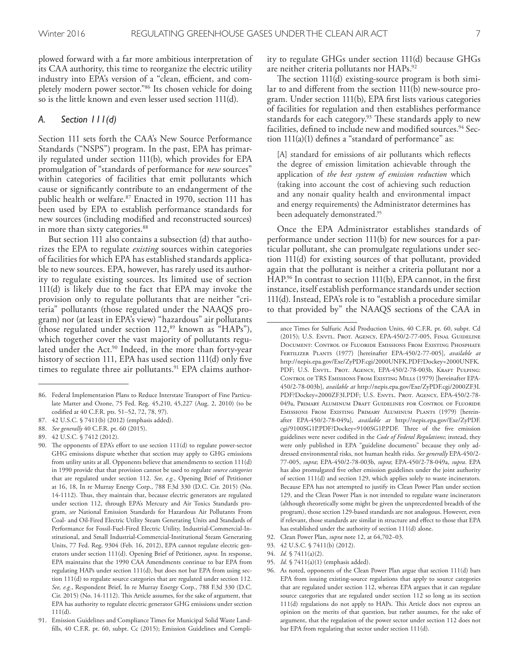plowed forward with a far more ambitious interpretation of its CAA authority, this time to reorganize the electric utility industry into EPA's version of a "clean, efficient, and completely modern power sector."86 Its chosen vehicle for doing so is the little known and even lesser used section 111(d).

### *A. Section 111(d)*

Section 111 sets forth the CAA's New Source Performance Standards ("NSPS") program. In the past, EPA has primarily regulated under section 111(b), which provides for EPA promulgation of "standards of performance for *new* sources" within categories of facilities that emit pollutants which cause or signifcantly contribute to an endangerment of the public health or welfare. 87 Enacted in 1970, section 111 has been used by EPA to establish performance standards for new sources (including modifed and reconstructed sources) in more than sixty categories. 88

But section 111 also contains a subsection (d) that authorizes the EPA to regulate *existing* sources within categories of facilities for which EPA has established standards applicable to new sources. EPA, however, has rarely used its authority to regulate existing sources. Its limited use of section 111(d) is likely due to the fact that EPA may invoke the provision only to regulate pollutants that are neither "criteria" pollutants (those regulated under the NAAQS program) nor (at least in EPA's view) "hazardous" air pollutants (those regulated under section  $112$ ,<sup>89</sup> known as "HAPs"), which together cover the vast majority of pollutants regulated under the Act. 90 Indeed, in the more than forty-year history of section 111, EPA has used section 111(d) only fve times to regulate three air pollutants. 91 EPA claims authority to regulate GHGs under section 111(d) because GHGs are neither criteria pollutants nor HAPs.<sup>92</sup>

The section  $111(d)$  existing-source program is both similar to and diferent from the section 111(b) new-source program. Under section 111(b), EPA frst lists various categories of facilities for regulation and then establishes performance standards for each category.<sup>93</sup> These standards apply to new facilities, defned to include new and modifed sources. 94 Section 111(a)(1) defnes a "standard of performance" as:

[A] standard for emissions of air pollutants which refects the degree of emission limitation achievable through the application of *the best system of emission reduction* which (taking into account the cost of achieving such reduction and any nonair quality health and environmental impact and energy requirements) the Administrator determines has been adequately demonstrated. 95

Once the EPA Administrator establishes standards of performance under section 111(b) for new sources for a particular pollutant, she can promulgate regulations under section 111(d) for existing sources of that pollutant, provided again that the pollutant is neither a criteria pollutant nor a HAP.<sup>96</sup> In contrast to section 111(b), EPA cannot, in the first instance, itself establish performance standards under section 111(d). Instead, EPA's role is to "establish a procedure similar to that provided by" the NAAQS sections of the CAA in

- 95. *Id.* § 7411(a)(1) (emphasis added).
- 96. As noted, opponents of the Clean Power Plan argue that section 111(d) bars EPA from issuing existing-source regulations that apply to source categories that are regulated under section 112, whereas EPA argues that it can regulate source categories that are regulated under section 112 so long as its section 111(d) regulations do not apply to HAPs. This Article does not express an opinion on the merits of that question, but rather assumes, for the sake of argument, that the regulation of the power sector under section 112 does not bar EPA from regulating that sector under section 111(d).

<sup>86.</sup> Federal Implementation Plans to Reduce Interstate Transport of Fine Particulate Matter and Ozone, 75 Fed. Reg. 45,210, 45,227 (Aug. 2, 2010) (to be codifed at 40 C.F.R. pts. 51–52, 72, 78, 97).

<sup>87.</sup> 42 U.S.C. § 7411(b) (2012) (emphasis added).

<sup>88.</sup> *See generally* 40 C.F.R. pt. 60 (2015).

<sup>89.</sup> 42 U.S.C. § 7412 (2012).

<sup>90.</sup> The opponents of EPA's effort to use section 111(d) to regulate power-sector GHG emissions dispute whether that section may apply to GHG emissions from utility units at all. Opponents believe that amendments to section 111(d) in 1990 provide that that provision cannot be used to regulate *source categories* that are regulated under section 112. *See, e.g.*, Opening Brief of Petitioner at 16, 18, In re Murray Energy Corp., 788 F.3d 330 (D.C. Cir. 2015) (No. 14-1112). Thus, they maintain that, because electric generators are regulated under section 112, through EPA's Mercury and Air Toxics Standards program, *see* National Emission Standards for Hazardous Air Pollutants From Coal- and Oil-Fired Electric Utility Steam Generating Units and Standards of Performance for Fossil-Fuel-Fired Electric Utility, Industrial-Commercial-Institutional, and Small Industrial-Commercial-Institutional Steam Generating Units, 77 Fed. Reg. 9304 (Feb. 16, 2012), EPA cannot regulate electric generators under section 111(d). Opening Brief of Petitioner, *supra*. In response, EPA maintains that the 1990 CAA Amendments continue to bar EPA from regulating HAPs under section 111(d), but does not bar EPA from using section 111(d) to regulate source categories that are regulated under section 112. *See, e.g.*, Respondent Brief, In re Murray Energy Corp., 788 F.3d 330 (D.C. Cir. 2015) (No. 14-1112). This Article assumes, for the sake of argument, that EPA has authority to regulate electric generator GHG emissions under section 111(d).

<sup>91.</sup> Emission Guidelines and Compliance Times for Municipal Solid Waste Landflls, 40 C.F.R. pt. 60, subpt. Cc (2015); Emission Guidelines and Compli-

ance Times for Sulfuric Acid Production Units, 40 C.F.R. pt. 60, subpt. Cd (2015); U.S. Envtl. Prot. Agency, EPA-450/2-77-005, Final Guideline Document: Control of Fluoride Emissions From Existing Phosphate Fertilizer Plants (1977) [hereinafter EPA-450/2-77-005], *available at* http://nepis.epa.gov/Exe/ZyPDF.cgi/2000UNFK.PDF?Dockey=2000UNFK. PDF; U.S. ENVTL. PROT. AGENCY, EPA-450/2-78-003b, KRAFT PULPING: CONTROL OF TRS EMISSIONS FROM EXISTING MILLS (1979) [hereinafter EPA-450/2-78-003b], *available at* http://nepis.epa.gov/Exe/ZyPDF.cgi/2000ZF3I. PDF?Dockey=2000ZF3I.PDF; U.S. Envtl. Prot. Agency, EPA-450/2-78- 049a, Primary Aluminum Draft Guidelines for Control of Fluoride Emissions From Existing Primary Aluminum Plants (1979) [hereinafter EPA-450/2-78-049a], *available at* http://nepis.epa.gov/Exe/ZyPDF. cgi/9100SG1P.PDF?Dockey=9100SG1P.PDF. Three of the five emission guidelines were never codifed in the *Code of Federal Regulations*; instead, they were only published in EPA "guideline documents" because they only addressed environmental risks, not human health risks. *See generally* EPA-450/2- 77-005, *supra*; EPA-450/2-78-003b, *supra*; EPA-450/2-78-049a, *supra*. EPA has also promulgated fve other emission guidelines under the joint authority of section 111(d) and section 129, which applies solely to waste incinerators. Because EPA has not attempted to justify its Clean Power Plan under section 129, and the Clean Power Plan is not intended to regulate waste incinerators (although theoretically some might be given the unprecedented breadth of the program), those section 129-based standards are not analogous. However, even if relevant, those standards are similar in structure and efect to those that EPA has established under the authority of section 111(d) alone.

<sup>92.</sup> Clean Power Plan, *supra* note 12, at 64,702–03.

<sup>93.</sup> 42 U.S.C. § 7411(b) (2012).

<sup>94.</sup> *Id.* § 7411(a)(2).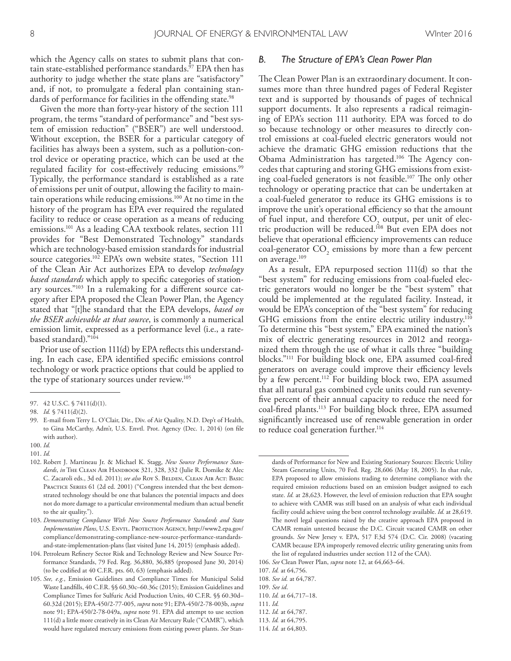which the Agency calls on states to submit plans that contain state-established performance standards. 97 EPA then has authority to judge whether the state plans are "satisfactory" and, if not, to promulgate a federal plan containing standards of performance for facilities in the offending state.<sup>98</sup>

Given the more than forty-year history of the section 111 program, the terms "standard of performance" and "best system of emission reduction" ("BSER") are well understood. Without exception, the BSER for a particular category of facilities has always been a system, such as a pollution-control device or operating practice, which can be used at the regulated facility for cost-efectively reducing emissions. 99 Typically, the performance standard is established as a rate of emissions per unit of output, allowing the facility to maintain operations while reducing emissions. 100 At no time in the history of the program has EPA ever required the regulated facility to reduce or cease operation as a means of reducing emissions. 101 As a leading CAA textbook relates, section 111 provides for "Best Demonstrated Technology" standards which are technology-based emission standards for industrial source categories. 102 EPA's own website states, "Section 111 of the Clean Air Act authorizes EPA to develop *technology based standards* which apply to specifc categories of stationary sources."103 In a rulemaking for a diferent source category after EPA proposed the Clean Power Plan, the Agency stated that "[t]he standard that the EPA develops, *based on the BSER achievable at that source*, is commonly a numerical emission limit, expressed as a performance level (i.e., a ratebased standard)."104

Prior use of section 111(d) by EPA refects this understanding. In each case, EPA identifed specifc emissions control technology or work practice options that could be applied to the type of stationary sources under review. 105

#### *B. The Structure of EPA's Clean Power Plan*

The Clean Power Plan is an extraordinary document. It consumes more than three hundred pages of Federal Register text and is supported by thousands of pages of technical support documents. It also represents a radical reimagining of EPA's section 111 authority. EPA was forced to do so because technology or other measures to directly control emissions at coal-fueled electric generators would not achieve the dramatic GHG emission reductions that the Obama Administration has targeted.<sup>106</sup> The Agency concedes that capturing and storing GHG emissions from existing coal-fueled generators is not feasible.<sup>107</sup> The only other technology or operating practice that can be undertaken at a coal-fueled generator to reduce its GHG emissions is to improve the unit's operational efficiency so that the amount of fuel input, and therefore CO<sub>2</sub> output, per unit of electric production will be reduced. 108 But even EPA does not believe that operational efficiency improvements can reduce coal-generator  $CO<sub>2</sub>$  emissions by more than a few percent on average. 109

As a result, EPA repurposed section 111(d) so that the "best system" for reducing emissions from coal-fueled electric generators would no longer be the "best system" that could be implemented at the regulated facility. Instead, it would be EPA's conception of the "best system" for reducing GHG emissions from the entire electric utility industry.<sup>110</sup> To determine this "best system," EPA examined the nation's mix of electric generating resources in 2012 and reorganized them through the use of what it calls three "building blocks."111 For building block one, EPA assumed coal-fred generators on average could improve their efficiency levels by a few percent. 112 For building block two, EPA assumed that all natural gas combined cycle units could run seventyfve percent of their annual capacity to reduce the need for coal-fred plants. 113 For building block three, EPA assumed signifcantly increased use of renewable generation in order to reduce coal generation further. 114

<sup>97.</sup> 42 U.S.C. § 7411(d)(1).

<sup>98.</sup> *Id.* § 7411(d)(2).

<sup>99.</sup> E-mail from Terry L. O'Clair, Dir., Div. of Air Quality, N.D. Dep't of Health, to Gina McCarthy, Adm'r, U.S. Envtl. Prot. Agency (Dec. 1, 2014) (on fle with author).

<sup>100.</sup> *Id.* 101. *Id.*

<sup>102.</sup> Robert J. Martineau Jr. & Michael K. Stagg, *New Source Performance Stan*dards, in THE CLEAN AIR HANDBOOK 321, 328, 332 (Julie R. Domike & Alec

C. Zacaroli eds., 3d ed. 2011); see also Roy S. BELDEN, CLEAN AIR ACT: BASIC PRACTICE SERIES 61 (2d ed. 2001) ("Congress intended that the best demonstrated technology should be one that balances the potential impacts and does not do more damage to a particular environmental medium than actual beneft to the air quality.").

<sup>103.</sup> *Demonstrating Compliance With New Source Performance Standards and State Implementation Plans*, U.S. Envtl. Protection Agency, http://www2.epa.gov/ compliance/demonstrating-compliance-new-source-performance-standardsand-state-implementation-plans (last visited June 14, 2015) (emphasis added).

<sup>104.</sup> Petroleum Refnery Sector Risk and Technology Review and New Source Performance Standards, 79 Fed. Reg. 36,880, 36,885 (proposed June 30, 2014) (to be codifed at 40 C.F.R. pts. 60, 63) (emphasis added).

<sup>105.</sup> *See, e.g.*, Emission Guidelines and Compliance Times for Municipal Solid Waste Landflls, 40 C.F.R. §§ 60.30c–60.36c (2015); Emission Guidelines and Compliance Times for Sulfuric Acid Production Units, 40 C.F.R. §§ 60.30d– 60.32d (2015); EPA-450/2-77-005, *supra* note 91; EPA-450/2-78-003b, *supra* note 91; EPA-450/2-78-049a, *supra* note 91. EPA did attempt to use section 111(d) a little more creatively in its Clean Air Mercury Rule ("CAMR"), which would have regulated mercury emissions from existing power plants. *See* Stan-

dards of Performance for New and Existing Stationary Sources: Electric Utility Steam Generating Units, 70 Fed. Reg. 28,606 (May 18, 2005). In that rule, EPA proposed to allow emissions trading to determine compliance with the required emission reductions based on an emission budget assigned to each state. *Id.* at 28,623. However, the level of emission reduction that EPA sought to achieve with CAMR was still based on an analysis of what each individual facility could achieve using the best control technology available. *Id.* at 28,619. The novel legal questions raised by the creative approach EPA proposed in CAMR remain untested because the D.C. Circuit vacated CAMR on other grounds. *See* New Jersey v. EPA, 517 F.3d 574 (D.C. Cir. 2008) (vacating CAMR because EPA improperly removed electric utility generating units from the list of regulated industries under section 112 of the CAA).

<sup>106.</sup> *See* Clean Power Plan, *supra* note 12, at 64,663–64.

<sup>107.</sup> *Id.* at 64,756.

<sup>108.</sup> *See id.* at 64,787.

<sup>109.</sup> *See id*.

<sup>110.</sup> *Id.* at 64,717–18.

<sup>111.</sup> *Id.*

<sup>112.</sup> *Id.* at 64,787.

<sup>113.</sup> *Id.* at 64,795.

<sup>114.</sup> *Id.* at 64,803.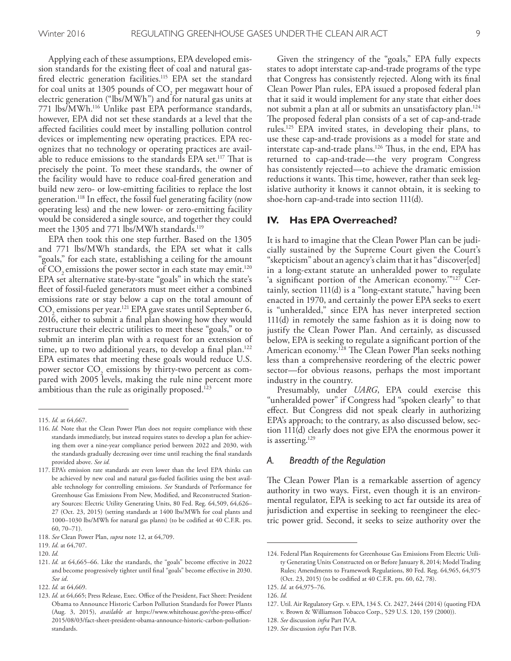Applying each of these assumptions, EPA developed emission standards for the existing feet of coal and natural gasfired electric generation facilities.<sup>115</sup> EPA set the standard for coal units at 1305 pounds of  $CO<sub>2</sub>$  per megawatt hour of electric generation ("lbs/MWh") and for natural gas units at 771 lbs/MWh. 116 Unlike past EPA performance standards, however, EPA did not set these standards at a level that the afected facilities could meet by installing pollution control devices or implementing new operating practices. EPA recognizes that no technology or operating practices are available to reduce emissions to the standards EPA set.<sup>117</sup> That is precisely the point. To meet these standards, the owner of the facility would have to reduce coal-fred generation and build new zero- or low-emitting facilities to replace the lost generation. 118 In efect, the fossil fuel generating facility (now operating less) and the new lower- or zero-emitting facility would be considered a single source, and together they could meet the 1305 and 771 lbs/MWh standards. 119

EPA then took this one step further. Based on the 1305 and 771 lbs/MWh standards, the EPA set what it calls "goals," for each state, establishing a ceiling for the amount of  $CO<sub>2</sub>$  emissions the power sector in each state may emit.<sup>120</sup> EPA set alternative state-by-state "goals" in which the state's feet of fossil-fueled generators must meet either a combined emissions rate or stay below a cap on the total amount of CO<sub>2</sub> emissions per year.<sup>121</sup> EPA gave states until September 6, 2016, either to submit a fnal plan showing how they would restructure their electric utilities to meet these "goals," or to submit an interim plan with a request for an extension of time, up to two additional years, to develop a final plan.<sup>122</sup> EPA estimates that meeting these goals would reduce U.S. power sector  $CO_2$  emissions by thirty-two percent as compared with 2005 levels, making the rule nine percent more ambitious than the rule as originally proposed. 123

Given the stringency of the "goals," EPA fully expects states to adopt interstate cap-and-trade programs of the type that Congress has consistently rejected. Along with its fnal Clean Power Plan rules, EPA issued a proposed federal plan that it said it would implement for any state that either does not submit a plan at all or submits an unsatisfactory plan. 124 The proposed federal plan consists of a set of cap-and-trade rules. 125 EPA invited states, in developing their plans, to use these cap-and-trade provisions as a model for state and interstate cap-and-trade plans.<sup>126</sup> Thus, in the end, EPA has returned to cap-and-trade—the very program Congress has consistently rejected—to achieve the dramatic emission reductions it wants. This time, however, rather than seek legislative authority it knows it cannot obtain, it is seeking to shoe-horn cap-and-trade into section 111(d).

#### **IV. Has EPA Overreached?**

It is hard to imagine that the Clean Power Plan can be judicially sustained by the Supreme Court given the Court's "skepticism" about an agency's claim that it has "discover[ed] in a long-extant statute an unheralded power to regulate 'a signifcant portion of the American economy.'"127 Certainly, section 111(d) is a "long-extant statute," having been enacted in 1970, and certainly the power EPA seeks to exert is "unheralded," since EPA has never interpreted section 111(d) in remotely the same fashion as it is doing now to justify the Clean Power Plan. And certainly, as discussed below, EPA is seeking to regulate a signifcant portion of the American economy.<sup>128</sup> The Clean Power Plan seeks nothing less than a comprehensive reordering of the electric power sector—for obvious reasons, perhaps the most important industry in the country.

Presumably, under *UARG*, EPA could exercise this "unheralded power" if Congress had "spoken clearly" to that efect. But Congress did not speak clearly in authorizing EPA's approach; to the contrary, as also discussed below, section 111(d) clearly does not give EPA the enormous power it is asserting. 129

#### *A. Breadth of the Regulation*

The Clean Power Plan is a remarkable assertion of agency authority in two ways. First, even though it is an environmental regulator, EPA is seeking to act far outside its area of jurisdiction and expertise in seeking to reengineer the electric power grid. Second, it seeks to seize authority over the

<sup>115.</sup> *Id.* at 64,667.

<sup>116.</sup> *Id.* Note that the Clean Power Plan does not require compliance with these standards immediately, but instead requires states to develop a plan for achieving them over a nine-year compliance period between 2022 and 2030, with the standards gradually decreasing over time until reaching the fnal standards provided above. *See id.*

<sup>117.</sup> EPA's emission rate standards are even lower than the level EPA thinks can be achieved by new coal and natural gas-fueled facilities using the best available technology for controlling emissions. *See* Standards of Performance for Greenhouse Gas Emissions From New, Modifed, and Reconstructed Stationary Sources: Electric Utility Generating Units, 80 Fed. Reg. 64,509, 64,626– 27 (Oct. 23, 2015) (setting standards at 1400 lbs/MWh for coal plants and 1000–1030 lbs/MWh for natural gas plants) (to be codifed at 40 C.F.R. pts. 60, 70–71).

<sup>118.</sup> *See* Clean Power Plan, *supra* note 12, at 64,709.

<sup>119.</sup> *Id*. at 64,707.

<sup>120.</sup> *Id.*

<sup>121.</sup> *Id.* at 64,665–66. Like the standards, the "goals" become efective in 2022 and become progressively tighter until fnal "goals" become efective in 2030. *See id*.

<sup>122.</sup> *Id.* at 64,669.

<sup>123.</sup> Id. at 64,665; Press Release, Exec. Office of the President, Fact Sheet: President Obama to Announce Historic Carbon Pollution Standards for Power Plants (Aug. 3, 2015), *available at* https://www.whitehouse.gov/the-press-office/ 2015/08/03/fact-sheet-president-obama-announce-historic-carbon-pollutionstandards.

<sup>124.</sup> Federal Plan Requirements for Greenhouse Gas Emissions From Electric Utility Generating Units Constructed on or Before January 8, 2014; Model Trading Rules; Amendments to Framework Regulations, 80 Fed. Reg. 64,965, 64,975 (Oct. 23, 2015) (to be codifed at 40 C.F.R. pts. 60, 62, 78).

<sup>125.</sup> *Id.* at 64,975–76.

<sup>126.</sup> *Id.*

<sup>127.</sup> Util. Air Regulatory Grp. v. EPA, 134 S. Ct. 2427, 2444 (2014) (quoting FDA v. Brown & Williamson Tobacco Corp., 529 U.S. 120, 159 (2000)).

<sup>128.</sup> *See* discussion *infra* Part IV.A.

<sup>129.</sup> *See* discussion *infra* Part IV.B.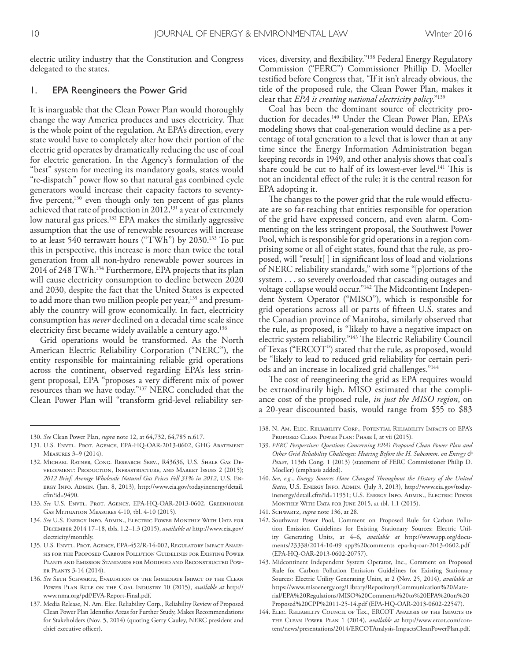electric utility industry that the Constitution and Congress delegated to the states.

#### 1. EPA Reengineers the Power Grid

It is inarguable that the Clean Power Plan would thoroughly change the way America produces and uses electricity. That is the whole point of the regulation. At EPA's direction, every state would have to completely alter how their portion of the electric grid operates by dramatically reducing the use of coal for electric generation. In the Agency's formulation of the "best" system for meeting its mandatory goals, states would "re-dispatch" power fow so that natural gas combined cycle generators would increase their capacity factors to seventyfive percent, $130$  even though only ten percent of gas plants achieved that rate of production in 2012,<sup>131</sup> a year of extremely low natural gas prices. 132 EPA makes the similarly aggressive assumption that the use of renewable resources will increase to at least 540 terrawatt hours ("TWh") by 2030. 133 To put this in perspective, this increase is more than twice the total generation from all non-hydro renewable power sources in 2014 of 248 TWh. 134 Furthermore, EPA projects that its plan will cause electricity consumption to decline between 2020 and 2030, despite the fact that the United States is expected to add more than two million people per year,<sup>135</sup> and presumably the country will grow economically. In fact, electricity consumption has *never* declined on a decadal time scale since electricity frst became widely available a century ago. 136

Grid operations would be transformed. As the North American Electric Reliability Corporation ("NERC"), the entity responsible for maintaining reliable grid operations across the continent, observed regarding EPA's less stringent proposal, EPA "proposes a very diferent mix of power resources than we have today."137 NERC concluded that the Clean Power Plan will "transform grid-level reliability services, diversity, and fexibility."138 Federal Energy Regulatory Commission ("FERC") Commissioner Phillip D. Moeller testifed before Congress that, "If it isn't already obvious, the title of the proposed rule, the Clean Power Plan, makes it clear that *EPA is creating national electricity policy*."139

Coal has been the dominant source of electricity production for decades. 140 Under the Clean Power Plan, EPA's modeling shows that coal-generation would decline as a percentage of total generation to a level that is lower than at any time since the Energy Information Administration began keeping records in 1949, and other analysis shows that coal's share could be cut to half of its lowest-ever level.<sup>141</sup> This is not an incidental efect of the rule; it is the central reason for EPA adopting it.

The changes to the power grid that the rule would effectuate are so far-reaching that entities responsible for operation of the grid have expressed concern, and even alarm. Commenting on the less stringent proposal, the Southwest Power Pool, which is responsible for grid operations in a region comprising some or all of eight states, found that the rule, as proposed, will "result[ ] in signifcant loss of load and violations of NERC reliability standards," with some "[p]ortions of the system . . . so severely overloaded that cascading outages and voltage collapse would occur."<sup>142</sup> The Midcontinent Independent System Operator ("MISO"), which is responsible for grid operations across all or parts of ffteen U.S. states and the Canadian province of Manitoba, similarly observed that the rule, as proposed, is "likely to have a negative impact on electric system reliability."<sup>143</sup> The Electric Reliability Council of Texas ("ERCOT") stated that the rule, as proposed, would be "likely to lead to reduced grid reliability for certain periods and an increase in localized grid challenges."144

The cost of reengineering the grid as EPA requires would be extraordinarily high. MISO estimated that the compliance cost of the proposed rule, *in just the MISO region*, on a 20-year discounted basis, would range from \$55 to \$83

- 141. Schwartz, *supra* note 136, at 28.
- 142. Southwest Power Pool, Comment on Proposed Rule for Carbon Pollution Emission Guidelines for Existing Stationary Sources: Electric Utility Generating Units, at 4–6, *available at* http://www.spp.org/documents/23338/2014-10-09\_spp%20comments\_epa-hq-oar-2013-0602.pdf (EPA-HQ-OAR-2013-0602-20757).
- 143. Midcontinent Independent System Operator, Inc., Comment on Proposed Rule for Carbon Pollution Emission Guidelines for Existing Stationary Sources: Electric Utility Generating Units, at 2 (Nov. 25, 2014), *available at*  https://www.misoenergy.org/Library/Repository/Communication%20Material/EPA%20Regulations/MISO%20Comments%20to%20EPA%20on%20 Proposed%20CPP%2011-25-14.pdf (EPA-HQ-OAR-2013-0602-22547).
- 144. Elec. Reliability Council of Tex., ERCOT Analysis of the Impacts of the Clean Power Plan 1 (2014), *available at* http://www.ercot.com/content/news/presentations/2014/ERCOTAnalysis-ImpactsCleanPowerPlan.pdf.

<sup>130.</sup> *See* Clean Power Plan, *supra* note 12, at 64,732, 64,785 n.617.

<sup>131.</sup> U.S. Envtl. Prot. Agency, EPA-HQ-OAR-2013-0602, GHG Abatement Measures 3–9 (2014).

<sup>132.</sup> Michael Ratner, Cong. Research Serv., R43636, U.S. Shale Gas Development: Production, Infrastructure, and Market Issues 2 (2015); *2012 Brief: Average Wholesale Natural Gas Prices Fell 31% in 2012*, U.S. Energy Info. Admin. (Jan. 8, 2013), http://www.eia.gov/todayinenergy/detail. cfm?id=9490.

<sup>133.</sup> *See* U.S. Envtl. Prot. Agency, EPA-HQ-OAR-2013-0602, Greenhouse Gas Mitigation Measures 4-10, tbl. 4-10 (2015).

<sup>134.</sup> *See* U.S. Energy Info. Admin., Electric Power Monthly With Data for December 2014 17–18, tbls. 1.2–1.3 (2015), *available at* http://www.eia.gov/ electricity/monthly.

<sup>135.</sup> U.S. Envtl. Prot. Agency, EPA-452/R-14-002, Regulatory Impact Analysis for the Proposed Carbon Pollution Guidelines for Existing Power Plants and Emission Standards for Modified and Reconstructed Power Plants 3-14 (2014).

<sup>136.</sup> *See* Seth Schwartz, Evaluation of the Immediate Impact of the Clean Power Plan Rule on the Coal Industry 10 (2015), *available at* http:// www.nma.org/pdf/EVA-Report-Final.pdf.

<sup>137.</sup> Media Release, N. Am. Elec. Reliability Corp., Reliability Review of Proposed Clean Power Plan Identifes Areas for Further Study, Makes Recommendations for Stakeholders (Nov. 5, 2014) (quoting Gerry Cauley, NERC president and chief executive officer).

<sup>138.</sup> N. Am. Elec. Reliability Corp., Potential Reliability Impacts of EPA's Proposed Clean Power Plan: Phase I, at vii (2015).

<sup>139.</sup> *FERC Perspectives: Questions Concerning EPA's Proposed Clean Power Plan and Other Grid Reliability Challenges: Hearing Before the H. Subcomm. on Energy & Power*, 113th Cong. 1 (2013) (statement of FERC Commissioner Philip D. Moeller) (emphasis added).

<sup>140.</sup> *See, e.g.*, *Energy Sources Have Changed Troughout the History of the United States*, U.S. Energy Info. Admin. (July 3, 2013), http://www.eia.gov/todayinenergy/detail.cfm?id=11951; U.S. ENERGY INFO. ADMIN., ELECTRIC POWER Monthly With Data for June 2015, at tbl. 1.1 (2015).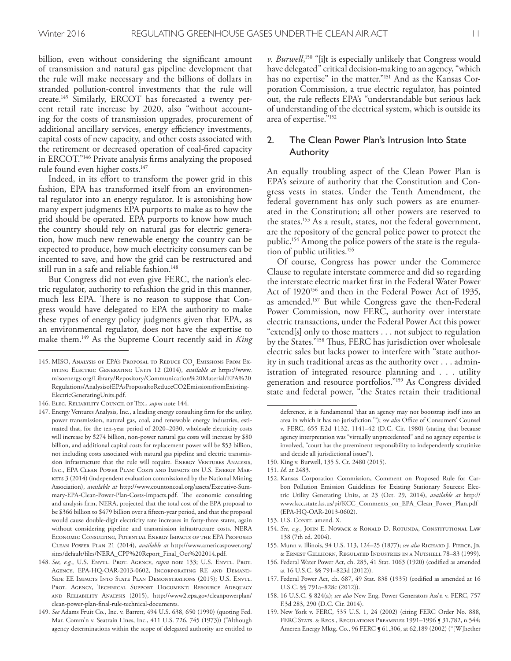billion, even without considering the signifcant amount of transmission and natural gas pipeline development that the rule will make necessary and the billions of dollars in stranded pollution-control investments that the rule will create. 145 Similarly, ERCOT has forecasted a twenty percent retail rate increase by 2020, also "without accounting for the costs of transmission upgrades, procurement of additional ancillary services, energy efficiency investments, capital costs of new capacity, and other costs associated with the retirement or decreased operation of coal-fred capacity in ERCOT."146 Private analysis frms analyzing the proposed rule found even higher costs. 147

Indeed, in its effort to transform the power grid in this fashion, EPA has transformed itself from an environmental regulator into an energy regulator. It is astonishing how many expert judgments EPA purports to make as to how the grid should be operated. EPA purports to know how much the country should rely on natural gas for electric generation, how much new renewable energy the country can be expected to produce, how much electricity consumers can be incented to save, and how the grid can be restructured and still run in a safe and reliable fashion. 148

But Congress did not even give FERC, the nation's electric regulator, authority to refashion the grid in this manner, much less EPA. There is no reason to suppose that Congress would have delegated to EPA the authority to make these types of energy policy judgments given that EPA, as an environmental regulator, does not have the expertise to make them. 149 As the Supreme Court recently said in *King* 

*v. Burwell*, 150 "[i]t is especially unlikely that Congress would have delegated" critical decision-making to an agency, "which has no expertise" in the matter."151 And as the Kansas Corporation Commission, a true electric regulator, has pointed out, the rule refects EPA's "understandable but serious lack of understanding of the electrical system, which is outside its area of expertise."152

## 2. The Clean Power Plan's Intrusion Into State Authority

An equally troubling aspect of the Clean Power Plan is EPA's seizure of authority that the Constitution and Congress vests in states. Under the Tenth Amendment, the federal government has only such powers as are enumerated in the Constitution; all other powers are reserved to the states. 153 As a result, states, not the federal government, are the repository of the general police power to protect the public. 154 Among the police powers of the state is the regulation of public utilities. 155

Of course, Congress has power under the Commerce Clause to regulate interstate commerce and did so regarding the interstate electric market frst in the Federal Water Power Act of 1920<sup>156</sup> and then in the Federal Power Act of 1935, as amended. 157 But while Congress gave the then-Federal Power Commission, now FERC, authority over interstate electric transactions, under the Federal Power Act this power "extend[s] only to those matters . . . not subject to regulation by the States."<sup>158</sup> Thus, FERC has jurisdiction over wholesale electric sales but lacks power to interfere with "state authority in such traditional areas as the authority over . . . administration of integrated resource planning and . . . utility generation and resource portfolios."159 As Congress divided state and federal power, "the States retain their traditional

- 154. *See, e.g.*, John E. Nowack & Ronald D. Rotunda, Constitutional Law 138 (7th ed. 2004).
- 155. Munn v. Illinois, 94 U.S. 113, 124–25 (1877); *see also* Richard J. Pierce, Jr. & Ernest Gellhorn, Regulated Industries in a Nutshell 78–83 (1999).
- 156. Federal Water Power Act, ch. 285, 41 Stat. 1063 (1920) (codifed as amended at 16 U.S.C. §§ 791–823d (2012)).
- 157. Federal Power Act, ch. 687, 49 Stat. 838 (1935) (codifed as amended at 16 U.S.C. §§ 791a–828c (2012)).
- 158. 16 U.S.C. § 824(a); *see also* New Eng. Power Generators Ass'n v. FERC, 757 F.3d 283, 290 (D.C. Cir. 2014).
- 159. New York v. FERC, 535 U.S. 1, 24 (2002) (citing FERC Order No. 888, FERC STATS. & REGS., REGULATIONS PREAMBLES 1991-1996 [ 31,782, n.544; Ameren Energy Mktg. Co., 96 FERC ¶ 61,306, at 62,189 (2002) ("[W]hether

<sup>145.</sup> MISO, Analysis of EPA's Proposal to Reduce  $\mathrm{CO}_2$  Emissions From Existing Electric Generating Units 12 (2014), *available at* https://www. misoenergy.org/Library/Repository/Communication%20Material/EPA%20 Regulations/AnalysisofEPAsProposaltoReduceCO2EmissionsfromExisting-ElectricGeneratingUnits.pdf.

<sup>146.</sup> Elec. Reliability Council of Tex., *supra* note 144.

<sup>147.</sup> Energy Ventures Analysis, Inc., a leading energy consulting frm for the utility, power transmission, natural gas, coal, and renewable energy industries, estimated that, for the ten-year period of 2020–2030, wholesale electricity costs will increase by \$274 billion, non-power natural gas costs will increase by \$80 billion, and additional capital costs for replacement power will be \$53 billion, not including costs associated with natural gas pipeline and electric transmission infrastructure that the rule will require. ENERGY VENTURES ANALYSIS, Inc., EPA Clean Power Plan: Costs and Impacts on U.S. Energy Mar-KETS 3 (2014) (independent evaluation commissioned by the National Mining Association), *available at* http://www.countoncoal.org/assets/Executive-Summary-EPA-Clean-Power-Plan-Costs-Impacts.pdf. The economic consulting and analysis frm, NERA, projected that the total cost of the EPA proposal to be \$366 billion to \$479 billion over a ffteen-year period, and that the proposal would cause double-digit electricity rate increases in forty-three states, again without considering pipeline and transmission infrastructure costs. NERA Economic Consulting, Potential Energy Impacts of the EPA Proposed Clean Power Plan 21 (2014), *available at* http://www.americaspower.org/ sites/default/fles/NERA\_CPP%20Report\_Final\_Oct%202014.pdf.

<sup>148.</sup> See, e.g., U.S. ENVTL. PROT. AGENCY, *supra* note 133; U.S. ENVTL. PROT. Agency, EPA-HQ-OAR-2013-0602, Incorporating RE and Demand-Side EE Impacts Into State Plan Demonstrations (2015); U.S. Envtl. Prot. Agency, Technical Support Document: Resource Adequacy and Reliability Analysis (2015), http://www2.epa.gov/cleanpowerplan/ clean-power-plan-fnal-rule-technical-documents.

<sup>149.</sup> *See* Adams Fruit Co., Inc. v. Barrett, 494 U.S. 638, 650 (1990) (quoting Fed. Mar. Comm'n v. Seatrain Lines, Inc., 411 U.S. 726, 745 (1973)) ("Although agency determinations within the scope of delegated authority are entitled to

deference, it is fundamental 'that an agency may not bootstrap itself into an area in which it has no jurisdiction.""); see also Office of Consumers' Counsel v. FERC, 655 F.2d 1132, 1141–42 (D.C. Cir. 1980) (stating that because agency interpretation was "virtually unprecedented" and no agency expertise is involved, "court has the preeminent responsibility to independently scrutinize and decide all jurisdictional issues").

<sup>150.</sup> King v. Burwell, 135 S. Ct. 2480 (2015).

<sup>151.</sup> *Id.* at 2483.

<sup>152.</sup> Kansas Corporation Commission, Comment on Proposed Rule for Carbon Pollution Emission Guidelines for Existing Stationary Sources: Electric Utility Generating Units, at 23 (Oct. 29, 2014), *available at* http:// www.kcc.state.ks.us/pi/KCC\_Comments\_on\_EPA\_Clean\_Power\_Plan.pdf (EPA-HQ-OAR-2013-0602).

<sup>153.</sup> U.S. Consr. amend. X.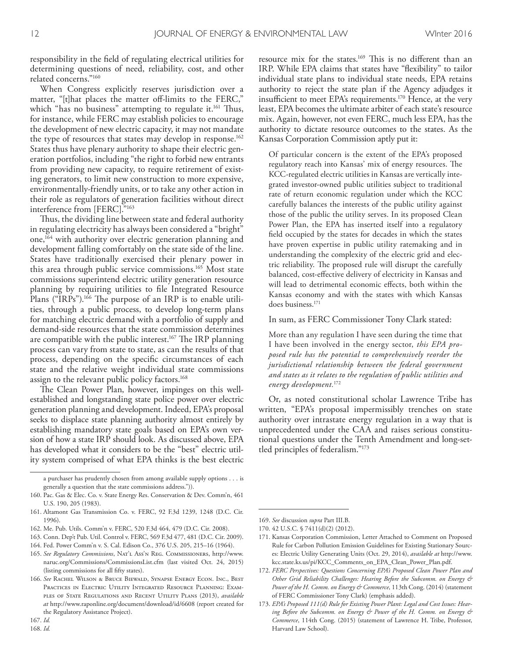responsibility in the feld of regulating electrical utilities for determining questions of need, reliability, cost, and other related concerns."160

When Congress explicitly reserves jurisdiction over a matter, "[t]hat places the matter off-limits to the FERC," which "has no business" attempting to regulate it.<sup>161</sup> Thus, for instance, while FERC may establish policies to encourage the development of new electric capacity, it may not mandate the type of resources that states may develop in response. 162 States thus have plenary authority to shape their electric generation portfolios, including "the right to forbid new entrants from providing new capacity, to require retirement of existing generators, to limit new construction to more expensive, environmentally-friendly units, or to take any other action in their role as regulators of generation facilities without direct interference from [FERC]."163

Thus, the dividing line between state and federal authority in regulating electricity has always been considered a "bright" one,<sup>164</sup> with authority over electric generation planning and development falling comfortably on the state side of the line. States have traditionally exercised their plenary power in this area through public service commissions. 165 Most state commissions superintend electric utility generation resource planning by requiring utilities to fle Integrated Resource Plans ("IRPs").<sup>166</sup> The purpose of an IRP is to enable utilities, through a public process, to develop long-term plans for matching electric demand with a portfolio of supply and demand-side resources that the state commission determines are compatible with the public interest.<sup>167</sup> The IRP planning process can vary from state to state, as can the results of that process, depending on the specifc circumstances of each state and the relative weight individual state commissions assign to the relevant public policy factors. 168

The Clean Power Plan, however, impinges on this wellestablished and longstanding state police power over electric generation planning and development. Indeed, EPA's proposal seeks to displace state planning authority almost entirely by establishing mandatory state goals based on EPA's own version of how a state IRP should look. As discussed above, EPA has developed what it considers to be the "best" electric utility system comprised of what EPA thinks is the best electric

167. *Id.*

168. *Id.*

resource mix for the states.<sup>169</sup> This is no different than an IRP. While EPA claims that states have "fexibility" to tailor individual state plans to individual state needs, EPA retains authority to reject the state plan if the Agency adjudges it insufficient to meet EPA's requirements.<sup>170</sup> Hence, at the very least, EPA becomes the ultimate arbiter of each state's resource mix. Again, however, not even FERC, much less EPA, has the authority to dictate resource outcomes to the states. As the Kansas Corporation Commission aptly put it:

Of particular concern is the extent of the EPA's proposed regulatory reach into Kansas' mix of energy resources. The KCC-regulated electric utilities in Kansas are vertically integrated investor-owned public utilities subject to traditional rate of return economic regulation under which the KCC carefully balances the interests of the public utility against those of the public the utility serves. In its proposed Clean Power Plan, the EPA has inserted itself into a regulatory feld occupied by the states for decades in which the states have proven expertise in public utility ratemaking and in understanding the complexity of the electric grid and electric reliability. The proposed rule will disrupt the carefully balanced, cost-efective delivery of electricity in Kansas and will lead to detrimental economic efects, both within the Kansas economy and with the states with which Kansas does business. 171

In sum, as FERC Commissioner Tony Clark stated:

More than any regulation I have seen during the time that I have been involved in the energy sector, *this EPA proposed rule has the potential to comprehensively reorder the jurisdictional relationship between the federal government and states as it relates to the regulation of public utilities and energy development.*<sup>172</sup>

Or, as noted constitutional scholar Lawrence Tribe has written, "EPA's proposal impermissibly trenches on state authority over intrastate energy regulation in a way that is unprecedented under the CAA and raises serious constitutional questions under the Tenth Amendment and long-settled principles of federalism."173

a purchaser has prudently chosen from among available supply options . . . is generally a question that the state commissions address.")).

<sup>160.</sup> Pac. Gas & Elec. Co. v. State Energy Res. Conservation & Dev. Comm'n, 461 U.S. 190, 205 (1983).

<sup>161.</sup> Altamont Gas Transmission Co. v. FERC, 92 F.3d 1239, 1248 (D.C. Cir. 1996).

<sup>162.</sup> Me. Pub. Utils. Comm'n v. FERC, 520 F.3d 464, 479 (D.C. Cir. 2008).

<sup>163.</sup> Conn. Dep't Pub. Util. Control v. FERC, 569 F.3d 477, 481 (D.C. Cir. 2009).

<sup>164.</sup> Fed. Power Comm'n v. S. Cal. Edison Co., 376 U.S. 205, 215–16 (1964).

<sup>165.</sup> *See Regulatory Commissions*, Nat'l Ass'n Reg. Commissioners, http://www. naruc.org/Commissions/CommissionsList.cfm (last visited Oct. 24, 2015) (listing commissions for all ffty states).

<sup>166.</sup> *See* Rachel Wilson & Bruce Biewald, Synapse Energy Econ. Inc., Best Practices in Electric Utility Integrated Resource Planning: Examples of State Regulations and Recent Utility Plans (2013), *available at* http://www.raponline.org/document/download/id/6608 (report created for the Regulatory Assistance Project).

<sup>169.</sup> *See* discussion *supra* Part III.B.

<sup>170.</sup> 42 U.S.C. § 7411(d)(2) (2012).

<sup>171.</sup> Kansas Corporation Commission, Letter Attached to Comment on Proposed Rule for Carbon Pollution Emission Guidelines for Existing Stationary Sources: Electric Utility Generating Units (Oct. 29, 2014), *available at* http://www. kcc.state.ks.us/pi/KCC\_Comments\_on\_EPA\_Clean\_Power\_Plan.pdf.

<sup>172.</sup> *FERC Perspectives: Questions Concerning EPA's Proposed Clean Power Plan and Other Grid Reliability Challenges: Hearing Before the Subcomm. on Energy & Power of the H. Comm. on Energy & Commerce*, 113th Cong. (2014) (statement of FERC Commissioner Tony Clark) (emphasis added).

<sup>173.</sup> *EPA's Proposed 111(d) Rule for Existing Power Plant: Legal and Cost Issues: Hearing Before the Subcomm. on Energy & Power of the H. Comm. on Energy & Commerce*, 114th Cong. (2015) (statement of Lawrence H. Tribe, Professor, Harvard Law School).